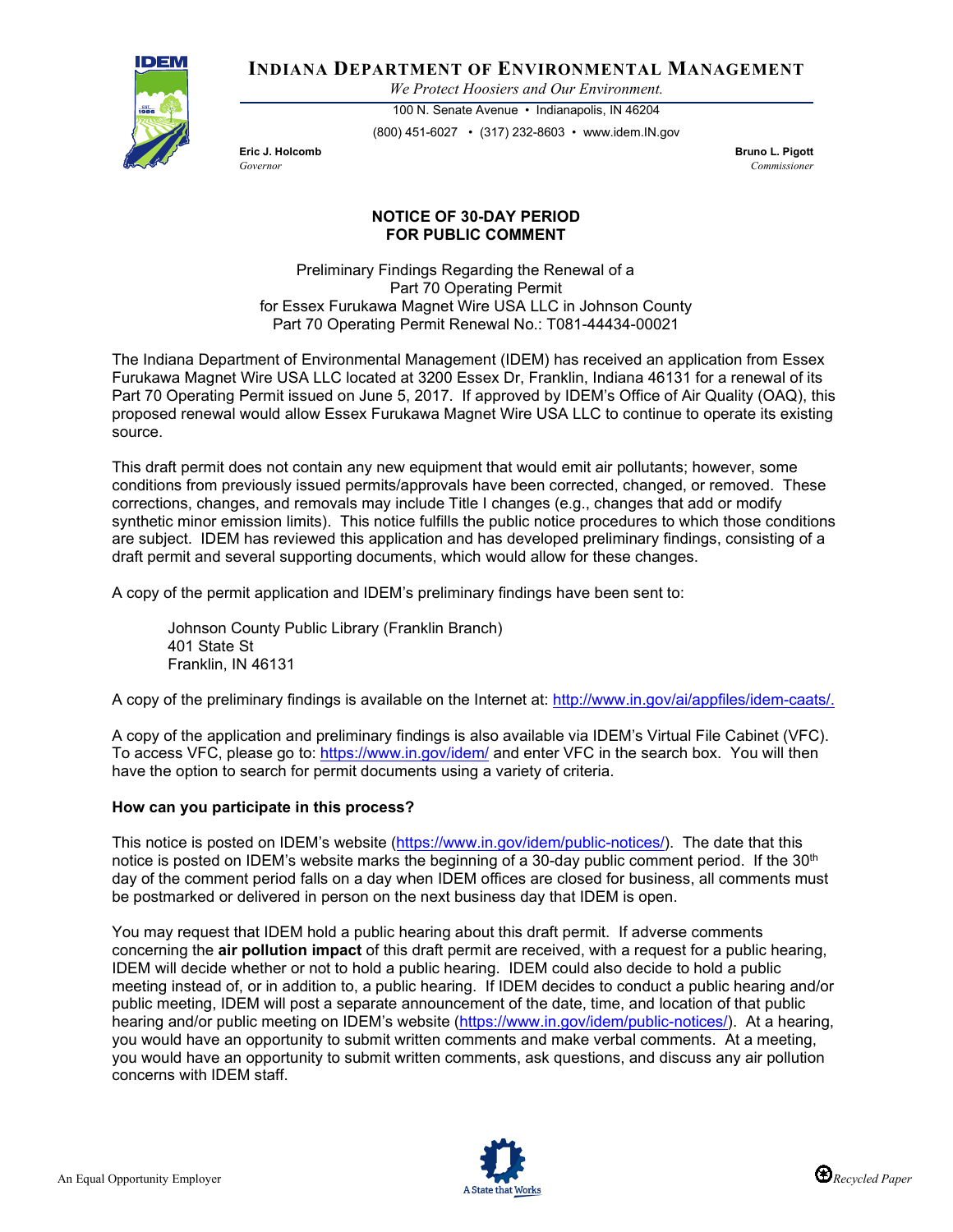

**INDIANA DEPARTMENT OF ENVIRONMENTAL MANAGEMENT**

*We Protect Hoosiers and Our Environment.*

100 N. Senate Avenue • Indianapolis, IN 46204 (800) 451-6027 • (317) 232-8603 • www.idem.IN.gov

**Eric J. Holcomb Bruno L. Pigott** *Governor Commissioner* 

## **NOTICE OF 30-DAY PERIOD FOR PUBLIC COMMENT**

Preliminary Findings Regarding the Renewal of a Part 70 Operating Permit for Essex Furukawa Magnet Wire USA LLC in Johnson County Part 70 Operating Permit Renewal No.: T081-44434-00021

The Indiana Department of Environmental Management (IDEM) has received an application from Essex Furukawa Magnet Wire USA LLC located at 3200 Essex Dr, Franklin, Indiana 46131 for a renewal of its Part 70 Operating Permit issued on June 5, 2017. If approved by IDEM's Office of Air Quality (OAQ), this proposed renewal would allow Essex Furukawa Magnet Wire USA LLC to continue to operate its existing source.

This draft permit does not contain any new equipment that would emit air pollutants; however, some conditions from previously issued permits/approvals have been corrected, changed, or removed. These corrections, changes, and removals may include Title I changes (e.g., changes that add or modify synthetic minor emission limits). This notice fulfills the public notice procedures to which those conditions are subject. IDEM has reviewed this application and has developed preliminary findings, consisting of a draft permit and several supporting documents, which would allow for these changes.

A copy of the permit application and IDEM's preliminary findings have been sent to:

Johnson County Public Library (Franklin Branch) 401 State St Franklin, IN 46131

A copy of the preliminary findings is available on the Internet at: [http://www.in.gov/ai/appfiles/idem-caats/.](http://www.in.gov/ai/appfiles/idem-caats/)

A copy of the application and preliminary findings is also available via IDEM's Virtual File Cabinet (VFC). To access VFC, please go to:<https://www.in.gov/idem/> and enter VFC in the search box. You will then have the option to search for permit documents using a variety of criteria.

## **How can you participate in this process?**

This notice is posted on IDEM's website [\(https://www.in.gov/idem/public-notices/\)](https://www.in.gov/idem/public-notices/). The date that this notice is posted on IDEM's website marks the beginning of a 30-day public comment period. If the  $30<sup>th</sup>$ day of the comment period falls on a day when IDEM offices are closed for business, all comments must be postmarked or delivered in person on the next business day that IDEM is open.

You may request that IDEM hold a public hearing about this draft permit. If adverse comments concerning the **air pollution impact** of this draft permit are received, with a request for a public hearing, IDEM will decide whether or not to hold a public hearing. IDEM could also decide to hold a public meeting instead of, or in addition to, a public hearing. If IDEM decides to conduct a public hearing and/or public meeting, IDEM will post a separate announcement of the date, time, and location of that public hearing and/or public meeting on IDEM's website [\(https://www.in.gov/idem/public-notices/\)](https://www.in.gov/idem/public-notices/). At a hearing, you would have an opportunity to submit written comments and make verbal comments. At a meeting, you would have an opportunity to submit written comments, ask questions, and discuss any air pollution concerns with IDEM staff.